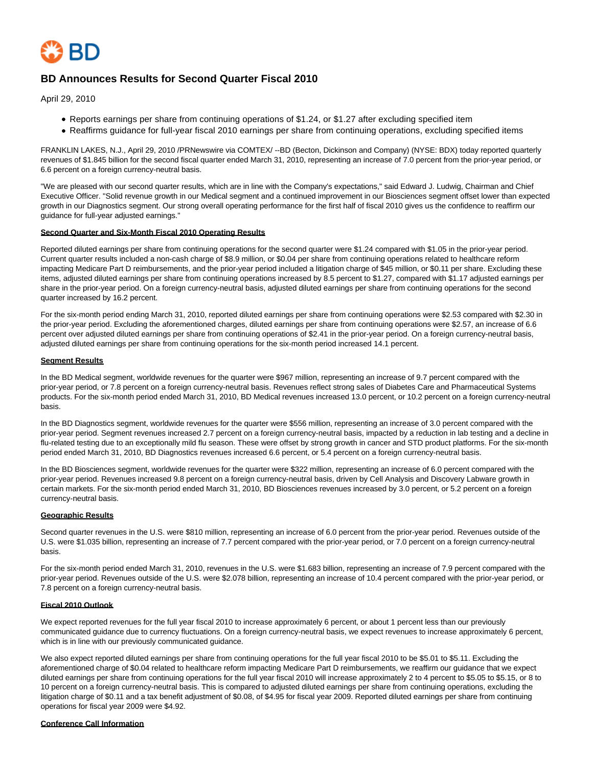

# **BD Announces Results for Second Quarter Fiscal 2010**

April 29, 2010

- Reports earnings per share from continuing operations of \$1.24, or \$1.27 after excluding specified item
- Reaffirms guidance for full-year fiscal 2010 earnings per share from continuing operations, excluding specified items

FRANKLIN LAKES, N.J., April 29, 2010 /PRNewswire via COMTEX/ --BD (Becton, Dickinson and Company) (NYSE: BDX) today reported quarterly revenues of \$1.845 billion for the second fiscal quarter ended March 31, 2010, representing an increase of 7.0 percent from the prior-year period, or 6.6 percent on a foreign currency-neutral basis.

"We are pleased with our second quarter results, which are in line with the Company's expectations," said Edward J. Ludwig, Chairman and Chief Executive Officer. "Solid revenue growth in our Medical segment and a continued improvement in our Biosciences segment offset lower than expected growth in our Diagnostics segment. Our strong overall operating performance for the first half of fiscal 2010 gives us the confidence to reaffirm our guidance for full-year adjusted earnings."

#### **Second Quarter and Six-Month Fiscal 2010 Operating Results**

Reported diluted earnings per share from continuing operations for the second quarter were \$1.24 compared with \$1.05 in the prior-year period. Current quarter results included a non-cash charge of \$8.9 million, or \$0.04 per share from continuing operations related to healthcare reform impacting Medicare Part D reimbursements, and the prior-year period included a litigation charge of \$45 million, or \$0.11 per share. Excluding these items, adjusted diluted earnings per share from continuing operations increased by 8.5 percent to \$1.27, compared with \$1.17 adjusted earnings per share in the prior-year period. On a foreign currency-neutral basis, adjusted diluted earnings per share from continuing operations for the second quarter increased by 16.2 percent.

For the six-month period ending March 31, 2010, reported diluted earnings per share from continuing operations were \$2.53 compared with \$2.30 in the prior-year period. Excluding the aforementioned charges, diluted earnings per share from continuing operations were \$2.57, an increase of 6.6 percent over adjusted diluted earnings per share from continuing operations of \$2.41 in the prior-year period. On a foreign currency-neutral basis, adjusted diluted earnings per share from continuing operations for the six-month period increased 14.1 percent.

### **Segment Results**

In the BD Medical segment, worldwide revenues for the quarter were \$967 million, representing an increase of 9.7 percent compared with the prior-year period, or 7.8 percent on a foreign currency-neutral basis. Revenues reflect strong sales of Diabetes Care and Pharmaceutical Systems products. For the six-month period ended March 31, 2010, BD Medical revenues increased 13.0 percent, or 10.2 percent on a foreign currency-neutral basis.

In the BD Diagnostics segment, worldwide revenues for the quarter were \$556 million, representing an increase of 3.0 percent compared with the prior-year period. Segment revenues increased 2.7 percent on a foreign currency-neutral basis, impacted by a reduction in lab testing and a decline in flu-related testing due to an exceptionally mild flu season. These were offset by strong growth in cancer and STD product platforms. For the six-month period ended March 31, 2010, BD Diagnostics revenues increased 6.6 percent, or 5.4 percent on a foreign currency-neutral basis.

In the BD Biosciences segment, worldwide revenues for the quarter were \$322 million, representing an increase of 6.0 percent compared with the prior-year period. Revenues increased 9.8 percent on a foreign currency-neutral basis, driven by Cell Analysis and Discovery Labware growth in certain markets. For the six-month period ended March 31, 2010, BD Biosciences revenues increased by 3.0 percent, or 5.2 percent on a foreign currency-neutral basis.

### **Geographic Results**

Second quarter revenues in the U.S. were \$810 million, representing an increase of 6.0 percent from the prior-year period. Revenues outside of the U.S. were \$1.035 billion, representing an increase of 7.7 percent compared with the prior-year period, or 7.0 percent on a foreign currency-neutral basis.

For the six-month period ended March 31, 2010, revenues in the U.S. were \$1.683 billion, representing an increase of 7.9 percent compared with the prior-year period. Revenues outside of the U.S. were \$2.078 billion, representing an increase of 10.4 percent compared with the prior-year period, or 7.8 percent on a foreign currency-neutral basis.

### **Fiscal 2010 Outlook**

We expect reported revenues for the full year fiscal 2010 to increase approximately 6 percent, or about 1 percent less than our previously communicated guidance due to currency fluctuations. On a foreign currency-neutral basis, we expect revenues to increase approximately 6 percent, which is in line with our previously communicated guidance.

We also expect reported diluted earnings per share from continuing operations for the full year fiscal 2010 to be \$5.01 to \$5.11. Excluding the aforementioned charge of \$0.04 related to healthcare reform impacting Medicare Part D reimbursements, we reaffirm our guidance that we expect diluted earnings per share from continuing operations for the full year fiscal 2010 will increase approximately 2 to 4 percent to \$5.05 to \$5.15, or 8 to 10 percent on a foreign currency-neutral basis. This is compared to adjusted diluted earnings per share from continuing operations, excluding the litigation charge of \$0.11 and a tax benefit adjustment of \$0.08, of \$4.95 for fiscal year 2009. Reported diluted earnings per share from continuing operations for fiscal year 2009 were \$4.92.

## **Conference Call Information**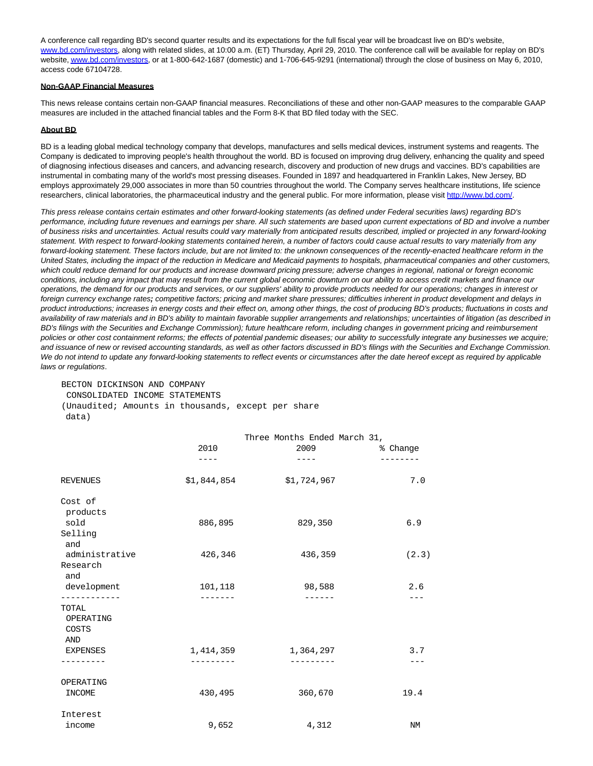A conference call regarding BD's second quarter results and its expectations for the full fiscal year will be broadcast live on BD's website, [www.bd.com/investors,](http://www.bd.com/investors) along with related slides, at 10:00 a.m. (ET) Thursday, April 29, 2010. The conference call will be available for replay on BD's website[, www.bd.com/investors,](http://www.bd.com/investors) or at 1-800-642-1687 (domestic) and 1-706-645-9291 (international) through the close of business on May 6, 2010, access code 67104728.

#### **Non-GAAP Financial Measures**

This news release contains certain non-GAAP financial measures. Reconciliations of these and other non-GAAP measures to the comparable GAAP measures are included in the attached financial tables and the Form 8-K that BD filed today with the SEC.

#### **About BD**

BD is a leading global medical technology company that develops, manufactures and sells medical devices, instrument systems and reagents. The Company is dedicated to improving people's health throughout the world. BD is focused on improving drug delivery, enhancing the quality and speed of diagnosing infectious diseases and cancers, and advancing research, discovery and production of new drugs and vaccines. BD's capabilities are instrumental in combating many of the world's most pressing diseases. Founded in 1897 and headquartered in Franklin Lakes, New Jersey, BD employs approximately 29,000 associates in more than 50 countries throughout the world. The Company serves healthcare institutions, life science researchers, clinical laboratories, the pharmaceutical industry and the general public. For more information, please visit [http://www.bd.com/.](http://www.bd.com/)

This press release contains certain estimates and other forward-looking statements (as defined under Federal securities laws) regarding BD's performance, including future revenues and earnings per share. All such statements are based upon current expectations of BD and involve a number of business risks and uncertainties. Actual results could vary materially from anticipated results described, implied or projected in any forward-looking statement. With respect to forward-looking statements contained herein, a number of factors could cause actual results to vary materially from any forward-looking statement. These factors include, but are not limited to: the unknown consequences of the recently-enacted healthcare reform in the United States, including the impact of the reduction in Medicare and Medicaid payments to hospitals, pharmaceutical companies and other customers, which could reduce demand for our products and increase downward pricing pressure; adverse changes in regional, national or foreign economic conditions, including any impact that may result from the current global economic downturn on our ability to access credit markets and finance our operations, the demand for our products and services, or our suppliers' ability to provide products needed for our operations; changes in interest or foreign currency exchange rates**;** competitive factors; pricing and market share pressures; difficulties inherent in product development and delays in product introductions; increases in energy costs and their effect on, among other things, the cost of producing BD's products; fluctuations in costs and availability of raw materials and in BD's ability to maintain favorable supplier arrangements and relationships; uncertainties of litigation (as described in BD's filings with the Securities and Exchange Commission); future healthcare reform, including changes in government pricing and reimbursement policies or other cost containment reforms; the effects of potential pandemic diseases; our ability to successfully integrate any businesses we acquire; and issuance of new or revised accounting standards, as well as other factors discussed in BD's filings with the Securities and Exchange Commission. We do not intend to update any forward-looking statements to reflect events or circumstances after the date hereof except as required by applicable laws or regulations.

 BECTON DICKINSON AND COMPANY CONSOLIDATED INCOME STATEMENTS

 (Unaudited; Amounts in thousands, except per share data)

|                 | 2010        | Three Months Ended March 31,<br>2009 | % Change |
|-----------------|-------------|--------------------------------------|----------|
|                 | $---$       | $---$                                | -------  |
| <b>REVENUES</b> | \$1,844,854 | \$1,724,967                          | 7.0      |
| Cost of         |             |                                      |          |
| products        |             |                                      |          |
| sold            | 886,895     | 829,350                              | 6.9      |
| Selling         |             |                                      |          |
| and             |             |                                      |          |
| administrative  | 426,346     | 436,359                              | (2.3)    |
| Research        |             |                                      |          |
| and             |             |                                      |          |
| development     | 101,118     | 98,588                               | 2.6      |
| ------------    | -------     | $- - - - - -$                        |          |
| TOTAL           |             |                                      |          |
| OPERATING       |             |                                      |          |
| COSTS           |             |                                      |          |
| <b>AND</b>      |             |                                      | 3.7      |
| <b>EXPENSES</b> | 1,414,359   | 1,364,297                            |          |
|                 |             |                                      |          |
| OPERATING       |             |                                      |          |
| <b>INCOME</b>   | 430,495     | 360,670                              | 19.4     |
| Interest        |             |                                      |          |
| income          | 9,652       | 4,312                                | NM       |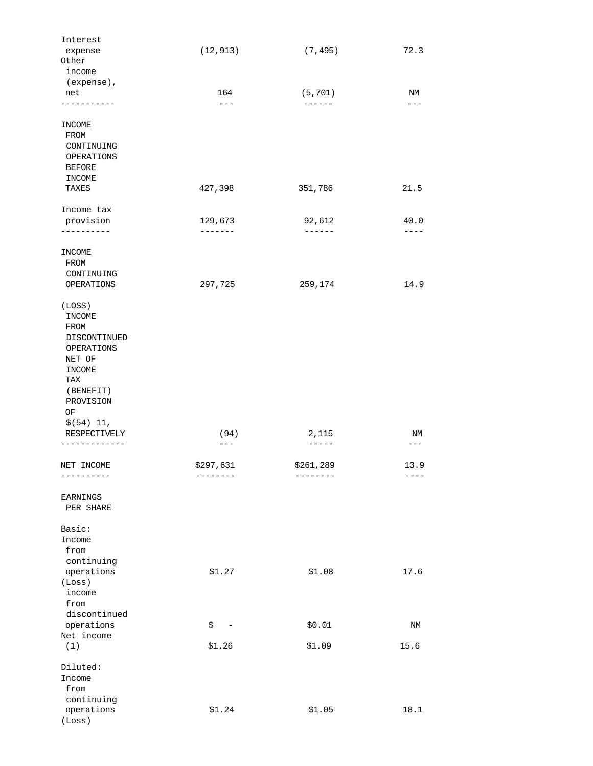| Interest                      |                       |                        |             |
|-------------------------------|-----------------------|------------------------|-------------|
| expense                       | (12, 913)             | (7, 495)               | 72.3        |
| Other                         |                       |                        |             |
| income                        |                       |                        |             |
| (expense),                    |                       |                        |             |
| net                           | 164                   | (5, 701)               | ΝM          |
| -----------                   | $\qquad \qquad - -$   |                        | $- - -$     |
|                               |                       |                        |             |
| INCOME                        |                       |                        |             |
| <b>FROM</b>                   |                       |                        |             |
| CONTINUING                    |                       |                        |             |
| OPERATIONS                    |                       |                        |             |
| <b>BEFORE</b>                 |                       |                        |             |
| INCOME                        |                       |                        |             |
| TAXES                         | 427,398               | 351,786                | 21.5        |
| Income tax                    |                       |                        |             |
| provision                     | 129,673               | 92,612                 | 40.0        |
| ----------                    | --------              | $- - - - - -$          |             |
|                               |                       |                        |             |
| INCOME                        |                       |                        |             |
| FROM                          |                       |                        |             |
| CONTINUING                    |                       |                        |             |
| OPERATIONS                    | 297,725               | 259,174                | 14.9        |
| (LOSS)                        |                       |                        |             |
| INCOME                        |                       |                        |             |
| FROM                          |                       |                        |             |
| DISCONTINUED                  |                       |                        |             |
| OPERATIONS                    |                       |                        |             |
| NET OF                        |                       |                        |             |
| INCOME                        |                       |                        |             |
| TAX                           |                       |                        |             |
|                               |                       |                        |             |
| (BENEFIT)                     |                       |                        |             |
| PROVISION                     |                       |                        |             |
| ΟF                            |                       |                        |             |
| \$ (54) 11,                   |                       |                        |             |
| RESPECTIVELY<br>------------- | (94)<br>$\frac{1}{2}$ | 2,115<br>$\frac{1}{2}$ | ΝM<br>$---$ |
|                               |                       |                        |             |
| NET INCOME                    | \$297,631             | \$261,289              | 13.9        |
| ---------                     | --------              | --------               | ----        |
| EARNINGS                      |                       |                        |             |
| PER SHARE                     |                       |                        |             |
|                               |                       |                        |             |
| Basic:                        |                       |                        |             |
| Income                        |                       |                        |             |
| from                          |                       |                        |             |
| continuing                    |                       |                        |             |
| operations                    | \$1.27                | \$1.08                 | 17.6        |
| (Loss)                        |                       |                        |             |
| income                        |                       |                        |             |
| from                          |                       |                        |             |
| discontinued                  |                       |                        |             |
| operations                    | \$                    | \$0.01                 | ΝM          |
| Net income                    |                       |                        |             |
| (1)                           | \$1.26                | \$1.09                 | 15.6        |
| Diluted:                      |                       |                        |             |
| Income                        |                       |                        |             |
| from                          |                       |                        |             |
| continuing                    |                       |                        |             |
| operations                    | \$1.24                | \$1.05                 | 18.1        |
| (Loss)                        |                       |                        |             |
|                               |                       |                        |             |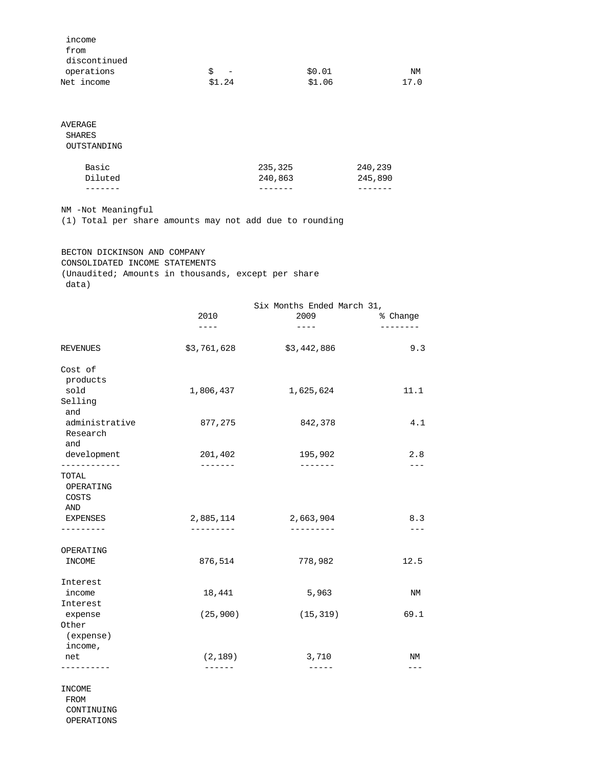| income       |                          |        |           |
|--------------|--------------------------|--------|-----------|
| from         |                          |        |           |
| discontinued |                          |        |           |
| operations   | $\overline{\phantom{a}}$ | \$0.01 | <b>NM</b> |
| Net income   | 61<br>1.24               | \$1.06 | 17 O      |

 AVERAGE SHARES

OUTSTANDING

| Diluted | 240,863 | 245,890 |
|---------|---------|---------|
| Basic   | 235,325 | 240,239 |

 NM -Not Meaningful (1) Total per share amounts may not add due to rounding

 BECTON DICKINSON AND COMPANY CONSOLIDATED INCOME STATEMENTS (Unaudited; Amounts in thousands, except per share data)

|                                                            | 2010        | Six Months Ended March 31,      |          |
|------------------------------------------------------------|-------------|---------------------------------|----------|
|                                                            | $- - - -$   | 2009<br>$\qquad \qquad - - - -$ | % Change |
| <b>REVENUES</b>                                            | \$3,761,628 | \$3,442,886                     | 9.3      |
| Cost of                                                    |             |                                 |          |
| products                                                   |             |                                 |          |
| sold                                                       | 1,806,437   | 1,625,624                       | 11.1     |
| Selling<br>and                                             |             |                                 |          |
| administrative<br>Research<br>and                          | 877,275     | 842,378                         | 4.1      |
| development                                                | 201,402     | 195,902                         | 2.8      |
| -----------                                                | --------    | --------                        |          |
| OPERATING<br><b>COSTS</b><br><b>AND</b><br><b>EXPENSES</b> | 2,885,114   | 2,663,904                       | 8.3      |
| ---------                                                  | ----------  | ----------                      |          |
| OPERATING                                                  |             |                                 |          |
| <b>INCOME</b>                                              | 876,514     | 778,982                         | 12.5     |
| Interest                                                   |             |                                 |          |
| income                                                     | 18,441      | 5,963                           | ΝM       |
| Interest                                                   |             |                                 |          |
| expense                                                    | (25, 900)   | (15, 319)                       | 69.1     |
| Other                                                      |             |                                 |          |
| (expense)                                                  |             |                                 |          |
| income,                                                    |             |                                 |          |
| net                                                        | (2, 189)    | 3,710                           | ΝM       |
| ----------                                                 |             | $\qquad \qquad - - - - -$       | $- - -$  |

INCOME

 FROM CONTINUING OPERATIONS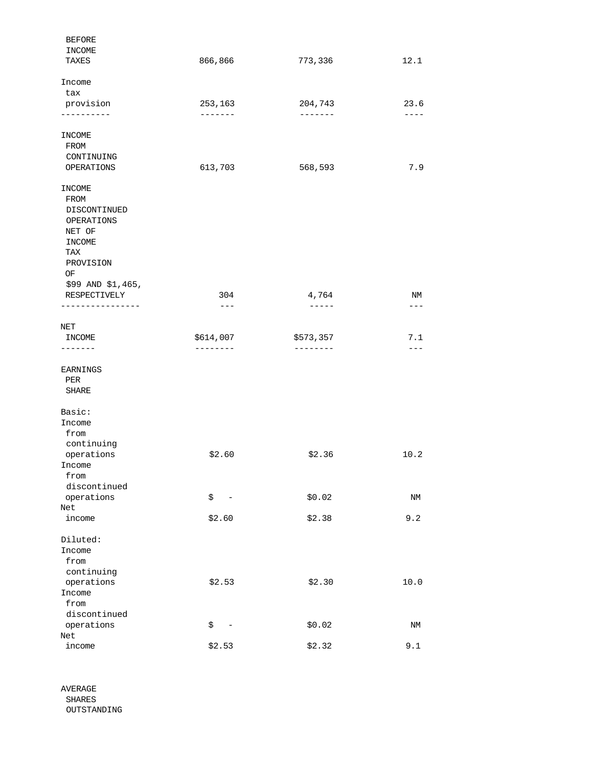| <b>BEFORE</b>                               |                     |               |                            |
|---------------------------------------------|---------------------|---------------|----------------------------|
| INCOME                                      |                     |               |                            |
| TAXES                                       | 866,866             | 773,336       | 12.1                       |
| Income                                      |                     |               |                            |
| tax                                         |                     |               |                            |
| provision                                   | 253,163             | 204,743       | 23.6                       |
| ----------                                  | --------            | --------      | $- - - - -$                |
| <b>INCOME</b>                               |                     |               |                            |
| FROM                                        |                     |               |                            |
| CONTINUING                                  |                     |               |                            |
| OPERATIONS                                  | 613,703             | 568,593       | 7.9                        |
| INCOME                                      |                     |               |                            |
| FROM                                        |                     |               |                            |
| DISCONTINUED                                |                     |               |                            |
| OPERATIONS                                  |                     |               |                            |
| NET OF                                      |                     |               |                            |
| INCOME                                      |                     |               |                            |
| TAX                                         |                     |               |                            |
| PROVISION                                   |                     |               |                            |
| ΟF                                          |                     |               |                            |
| \$99 AND \$1,465,                           |                     |               |                            |
| RESPECTIVELY                                | 304                 | 4,764         | ΝM                         |
| ----------------                            | $\qquad \qquad - -$ | $- - - - - -$ | ---                        |
| NET                                         |                     |               |                            |
| INCOME                                      | \$614,007           | \$573,357     | 7.1                        |
| -------                                     | --------            | ---------     | $---$                      |
|                                             |                     |               |                            |
| EARNINGS                                    |                     |               |                            |
| PER                                         |                     |               |                            |
| SHARE                                       |                     |               |                            |
|                                             |                     |               |                            |
| Basic:                                      |                     |               |                            |
| Income                                      |                     |               |                            |
| from                                        |                     |               |                            |
| continuing                                  |                     |               |                            |
| operations                                  | \$2.60              | \$2.36        | 10.2                       |
| Income                                      |                     |               |                            |
| from                                        |                     |               |                            |
|                                             |                     |               |                            |
| discontinued                                |                     |               |                            |
| operations                                  | \$                  | \$0.02        | $\mathop{\rm NM}\nolimits$ |
|                                             |                     |               |                            |
| income                                      | \$2.60              | \$2.38        | 9.2                        |
|                                             |                     |               |                            |
|                                             |                     |               |                            |
| from                                        |                     |               |                            |
| continuing                                  |                     |               |                            |
| operations                                  | \$2.53              | \$2.30        |                            |
|                                             |                     |               |                            |
| Net<br>Diluted:<br>Income<br>Income<br>from |                     |               |                            |
| discontinued                                |                     |               | 10.0                       |
| operations                                  | \$                  | \$0.02        | ΝM                         |
| Net                                         |                     |               |                            |

 AVERAGE SHARES OUTSTANDING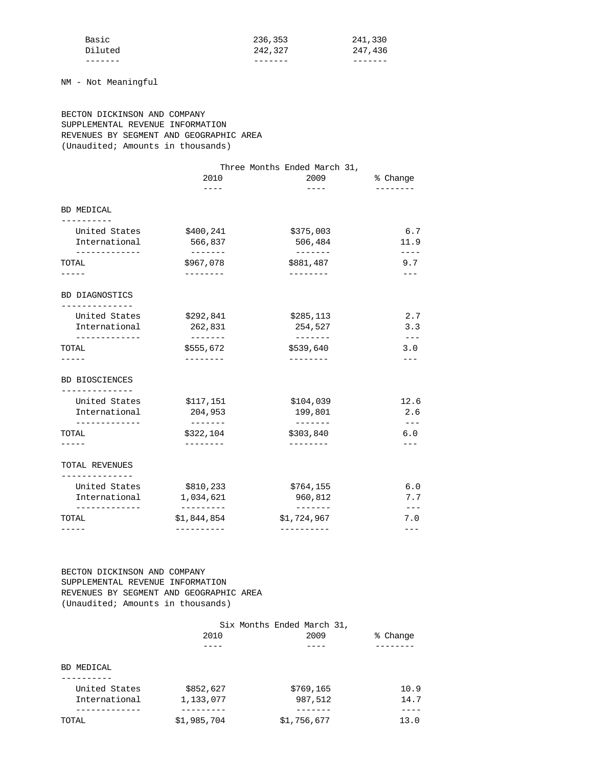| Diluted | 242,327 | 247,436 |
|---------|---------|---------|
| Basic   | 236,353 | 241,330 |

## NM - Not Meaningful

 BECTON DICKINSON AND COMPANY SUPPLEMENTAL REVENUE INFORMATION REVENUES BY SEGMENT AND GEOGRAPHIC AREA (Unaudited; Amounts in thousands)

|                                  | Three Months Ended March 31, |                                |                |
|----------------------------------|------------------------------|--------------------------------|----------------|
|                                  | 2010                         | 2009                           | % Change       |
|                                  | $- - - -$                    | $--- - -$                      |                |
| BD MEDICAL<br>----------         |                              |                                |                |
| United States                    | \$400,241                    | \$375,003                      | 6.7            |
| International                    | 566,837                      | 506,484                        | 11.9           |
| TOTAL                            | -------<br>\$967,078         | $- - - - - - - -$<br>\$881,487 | ----<br>9.7    |
|                                  | --------                     | ---------                      |                |
| BD DIAGNOSTICS<br>-------------- |                              |                                |                |
| United States                    | \$292,841                    | \$285,113                      | 2.7            |
| International                    | 262,831                      | 254,527                        | 3.3            |
| -------------<br>TOTAL           | \$555,672                    | \$539,640                      | 3.0            |
| -----                            | ---------                    | ---------                      |                |
| <b>BD BIOSCIENCES</b>            |                              |                                |                |
| --------------<br>United States  | \$117,151                    | \$104,039                      | 12.6           |
| International                    | 204,953                      | 199,801                        | 2.6            |
| -------------<br>TOTAL           | \$322,104                    | --------<br>\$303,840          | $- - -$<br>6.0 |
| -----                            | ---------                    | --------                       |                |
| TOTAL REVENUES                   |                              |                                |                |
| --------------<br>United States  | \$810,233                    | \$764,155                      | 6.0            |
| International                    | 1,034,621                    | 960,812<br>$- - - - - - -$     | 7.7            |
| -------------<br>TOTAL           | ----------<br>\$1,844,854    | \$1,724,967                    | 7.0            |
| -----                            |                              | ----------                     | ---            |

 BECTON DICKINSON AND COMPANY SUPPLEMENTAL REVENUE INFORMATION REVENUES BY SEGMENT AND GEOGRAPHIC AREA (Unaudited; Amounts in thousands)

|               |             | Six Months Ended March 31, |          |
|---------------|-------------|----------------------------|----------|
|               | 2010        | 2009                       | % Change |
|               |             |                            |          |
| BD MEDICAL    |             |                            |          |
|               |             |                            |          |
| United States | \$852,627   | \$769,165                  | 10.9     |
| International | 1,133,077   | 987,512                    | 14.7     |
|               |             |                            |          |
| TOTAL         | \$1,985,704 | \$1,756,677                | 13.0     |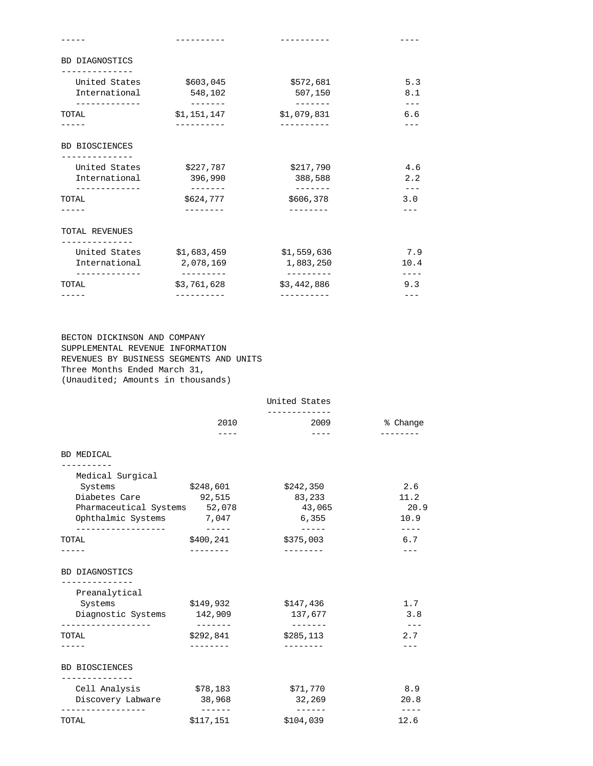| BD DIAGNOSTICS                     |                               |                                  |             |
|------------------------------------|-------------------------------|----------------------------------|-------------|
| United States<br>International     | \$603,045<br>548,102          | \$572,681<br>507,150             | 5.3<br>8.1  |
| TOTAL                              | $-- - - - - -$<br>\$1,151,147 | $-- - - - - -$<br>\$1,079,831    | 6.6         |
| <b>BD BIOSCIENCES</b>              |                               |                                  |             |
| United States<br>International     | \$227,787<br>396,990          | \$217,790<br>388,588<br>-------- | 4.6<br>2.2  |
| TOTAL                              | \$624,777                     | \$606,378                        | 3.0         |
| TOTAL REVENUES                     |                               |                                  |             |
| United States<br>International     | \$1,683,459<br>2,078,169      | \$1,559,636<br>1,883,250         | 7.9<br>10.4 |
| . _ _ _ _ _ _ _ _ _ _ _ _<br>TOTAL | ----------<br>\$3,761,628     | ---------<br>\$3,442,886         | ----<br>9.3 |
|                                    |                               | ----------                       | ---         |

 BECTON DICKINSON AND COMPANY SUPPLEMENTAL REVENUE INFORMATION REVENUES BY BUSINESS SEGMENTS AND UNITS Three Months Ended March 31, (Unaudited; Amounts in thousands)

|                                                                                          |                              | United States                           |                      |
|------------------------------------------------------------------------------------------|------------------------------|-----------------------------------------|----------------------|
|                                                                                          | 2010<br>----                 | 2009                                    | % Change<br>-------- |
|                                                                                          |                              |                                         |                      |
| BD MEDICAL                                                                               |                              |                                         |                      |
| ----------<br>Medical Surgical                                                           |                              |                                         |                      |
| Systems                                                                                  | \$248,601                    | \$242,350                               | 2.6                  |
| Diabetes Care                                                                            | 92,515                       | 83,233                                  | 11.2                 |
| Pharmaceutical Systems 52,078                                                            |                              | 43,065                                  | 20.9                 |
| Ophthalmic Systems 7,047                                                                 |                              | 6,355                                   | 10.9                 |
| TOTAL                                                                                    | $\frac{1}{2}$<br>\$400,241   | -----<br>\$375,003                      | $---$<br>6.7         |
|                                                                                          |                              |                                         |                      |
| BD DIAGNOSTICS<br>------------<br>Preanalytical<br>Systems<br>Diagnostic Systems 142,909 | \$149,932<br>$- - - - - - -$ | \$147,436<br>137,677<br>$- - - - - - -$ | 1.7<br>3.8<br>$---$  |
| TOTAL                                                                                    | \$292,841                    | \$285,113                               | 2.7                  |
| <b>BD BIOSCIENCES</b>                                                                    |                              |                                         |                      |
| Cell Analysis                                                                            | \$78,183                     | \$71,770                                | 8.9                  |
| Discovery Labware                                                                        | 38,968                       | 32,269                                  | 20.8                 |
|                                                                                          |                              |                                         | $- - - - -$          |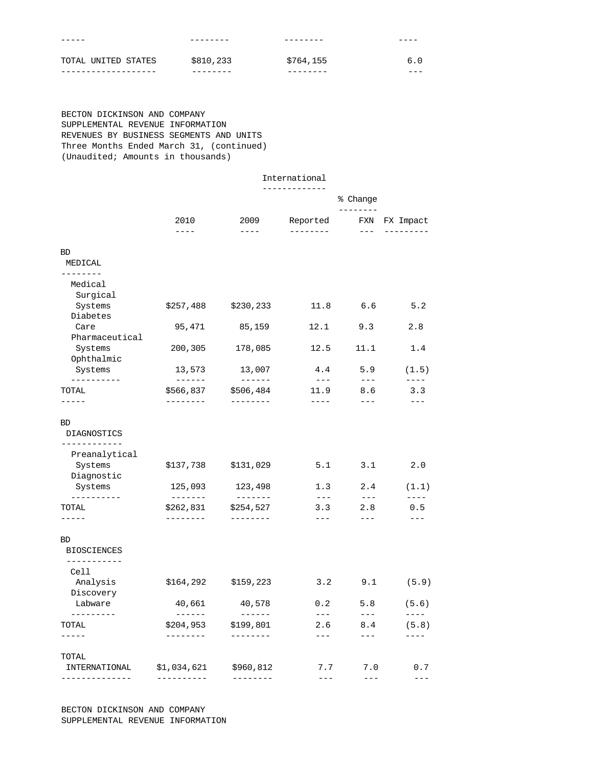| _____               | --------   | ________  | ____ |
|---------------------|------------|-----------|------|
| TOTAL UNITED STATES | \$810, 233 | \$764,155 | б.   |
|                     | -------    | --------  | ___  |

 BECTON DICKINSON AND COMPANY SUPPLEMENTAL REVENUE INFORMATION REVENUES BY BUSINESS SEGMENTS AND UNITS Three Months Ended March 31, (continued) (Unaudited; Amounts in thousands)

|                                          |                         |                              |                                | % Change       |                                                                                                                                                                                                                                                                                                                                                                                                       |
|------------------------------------------|-------------------------|------------------------------|--------------------------------|----------------|-------------------------------------------------------------------------------------------------------------------------------------------------------------------------------------------------------------------------------------------------------------------------------------------------------------------------------------------------------------------------------------------------------|
|                                          | 2010<br>$- - - -$       | 2009<br>$- - - - -$          | Reported<br>--------           | FXN<br>$- - -$ | FX Impact<br>---------                                                                                                                                                                                                                                                                                                                                                                                |
| <b>BD</b>                                |                         |                              |                                |                |                                                                                                                                                                                                                                                                                                                                                                                                       |
| MEDICAL                                  |                         |                              |                                |                |                                                                                                                                                                                                                                                                                                                                                                                                       |
| ---------<br>Medical<br>Surgical         |                         |                              |                                |                |                                                                                                                                                                                                                                                                                                                                                                                                       |
| Systems<br>Diabetes                      | \$257,488               | \$230,233                    | 11.8                           | 6.6            | 5.2                                                                                                                                                                                                                                                                                                                                                                                                   |
| Care<br>Pharmaceutical                   | 95,471                  | 85,159                       | 12.1                           | 9.3            | 2.8                                                                                                                                                                                                                                                                                                                                                                                                   |
| Systems<br>Ophthalmic                    | 200,305                 | 178,085                      | 12.5                           | 11.1           | 1.4                                                                                                                                                                                                                                                                                                                                                                                                   |
| Systems<br>__________                    | 13,573<br>$- - - - - -$ | 13,007                       | 4.4<br>$\perp$ $\perp$ $\perp$ | 5.9<br>$- - -$ | (1.5)<br>$\frac{1}{2} \frac{1}{2} \frac{1}{2} \frac{1}{2} \frac{1}{2} \frac{1}{2} \frac{1}{2} \frac{1}{2} \frac{1}{2} \frac{1}{2} \frac{1}{2} \frac{1}{2} \frac{1}{2} \frac{1}{2} \frac{1}{2} \frac{1}{2} \frac{1}{2} \frac{1}{2} \frac{1}{2} \frac{1}{2} \frac{1}{2} \frac{1}{2} \frac{1}{2} \frac{1}{2} \frac{1}{2} \frac{1}{2} \frac{1}{2} \frac{1}{2} \frac{1}{2} \frac{1}{2} \frac{1}{2} \frac{$ |
| TOTAL                                    | \$566,837               | \$506,484                    | 11.9                           | 8.6            | 3.3                                                                                                                                                                                                                                                                                                                                                                                                   |
| $- - - - -$                              | ---------               | --------                     | $\qquad \qquad - - -$          | $---$          | $\qquad \qquad - -$                                                                                                                                                                                                                                                                                                                                                                                   |
| <b>BD</b><br>DIAGNOSTICS                 |                         |                              |                                |                |                                                                                                                                                                                                                                                                                                                                                                                                       |
| ------------<br>Preanalytical<br>Systems | \$137,738               | \$131,029                    | 5.1                            | 3.1            |                                                                                                                                                                                                                                                                                                                                                                                                       |
| Diagnostic<br>Systems                    | 125,093                 | 123,498                      | 1.3                            | 2.4            |                                                                                                                                                                                                                                                                                                                                                                                                       |
| ----------<br>TOTAL                      |                         |                              | $--\,$ $-$<br>3.3              | $---$<br>2.8   | 0.5                                                                                                                                                                                                                                                                                                                                                                                                   |
| -----                                    | \$262,831<br>--------   | \$254,527<br>--------        | $\qquad \qquad - -$            | $---$          | $---$                                                                                                                                                                                                                                                                                                                                                                                                 |
| <b>BD</b><br><b>BIOSCIENCES</b>          |                         |                              |                                |                |                                                                                                                                                                                                                                                                                                                                                                                                       |
| -----------<br>Cell                      |                         |                              |                                |                |                                                                                                                                                                                                                                                                                                                                                                                                       |
| Analysis                                 | \$164,292               | \$159,223                    | 3.2                            | 9.1            |                                                                                                                                                                                                                                                                                                                                                                                                       |
| Discovery<br>Labware                     | 40,661                  | 40,578                       | 0.2                            | 5.8            |                                                                                                                                                                                                                                                                                                                                                                                                       |
| ---------<br>TOTAL                       | \$204,953               | $- - - - - - -$<br>\$199,801 | $\qquad \qquad - -$<br>2.6     | $---$<br>8.4   | $--- - - - - - -$                                                                                                                                                                                                                                                                                                                                                                                     |
| -----                                    | ------                  | ________                     | $---$                          | $---$          | 2.0<br>(1.1)<br>$\qquad \qquad - - -$<br>(5.9)<br>(5.6)<br>(5.8)                                                                                                                                                                                                                                                                                                                                      |

 BECTON DICKINSON AND COMPANY SUPPLEMENTAL REVENUE INFORMATION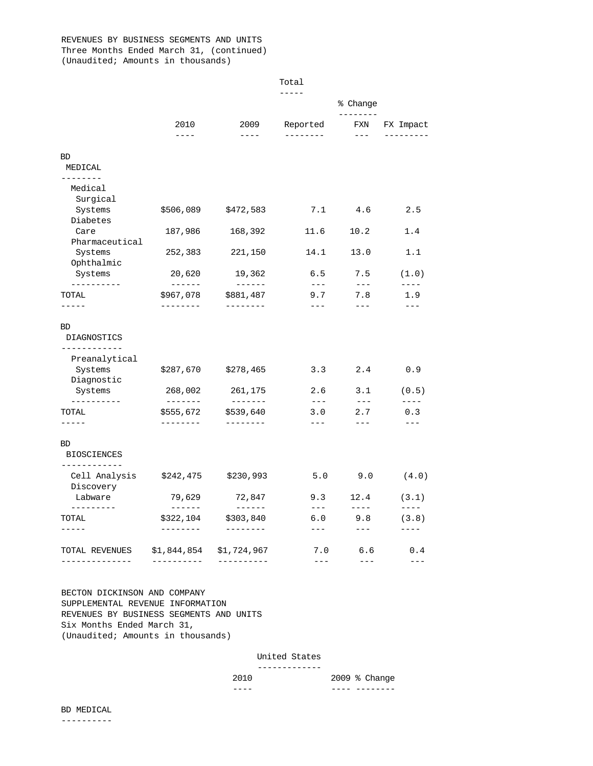## REVENUES BY BUSINESS SEGMENTS AND UNITS Three Months Ended March 31, (continued) (Unaudited; Amounts in thousands)

|                                          | Total<br>$- - - - -$  |                                |                                 |                                                                                                                                                                                                                                                                                                                                                                                                     |                                                          |  |
|------------------------------------------|-----------------------|--------------------------------|---------------------------------|-----------------------------------------------------------------------------------------------------------------------------------------------------------------------------------------------------------------------------------------------------------------------------------------------------------------------------------------------------------------------------------------------------|----------------------------------------------------------|--|
|                                          |                       |                                |                                 | % Change<br>--------                                                                                                                                                                                                                                                                                                                                                                                |                                                          |  |
|                                          | 2010<br>$- - - - -$   | 2009<br>$- - - - -$            | Reported<br>---------           | FXN<br>$\frac{1}{2} \frac{1}{2} \frac{1}{2} \frac{1}{2} \frac{1}{2} \frac{1}{2} \frac{1}{2} \frac{1}{2} \frac{1}{2} \frac{1}{2} \frac{1}{2} \frac{1}{2} \frac{1}{2} \frac{1}{2} \frac{1}{2} \frac{1}{2} \frac{1}{2} \frac{1}{2} \frac{1}{2} \frac{1}{2} \frac{1}{2} \frac{1}{2} \frac{1}{2} \frac{1}{2} \frac{1}{2} \frac{1}{2} \frac{1}{2} \frac{1}{2} \frac{1}{2} \frac{1}{2} \frac{1}{2} \frac{$ | FX Impact<br>---------                                   |  |
| <b>BD</b>                                |                       |                                |                                 |                                                                                                                                                                                                                                                                                                                                                                                                     |                                                          |  |
| MEDICAL                                  |                       |                                |                                 |                                                                                                                                                                                                                                                                                                                                                                                                     |                                                          |  |
| ---------<br>Medical<br>Surgical         |                       |                                |                                 |                                                                                                                                                                                                                                                                                                                                                                                                     |                                                          |  |
| Systems<br>Diabetes                      | \$506,089             | \$472,583                      | 7.1                             | 4.6                                                                                                                                                                                                                                                                                                                                                                                                 | 2.5                                                      |  |
| Care<br>Pharmaceutical                   | 187,986               | 168,392                        | 11.6                            | 10.2                                                                                                                                                                                                                                                                                                                                                                                                | 1.4                                                      |  |
| Systems<br>Ophthalmic                    | 252,383               | 221,150                        | 14.1                            | 13.0                                                                                                                                                                                                                                                                                                                                                                                                | 1.1                                                      |  |
| Systems<br>----------                    | 20,620                | 19,362                         | 6.5<br>$---$                    | 7.5<br>$--\,$ $-$                                                                                                                                                                                                                                                                                                                                                                                   | (1.0)<br>$\qquad \qquad - - -$                           |  |
| TOTAL                                    | \$967,078             | \$881,487                      | 9.7                             | 7.8                                                                                                                                                                                                                                                                                                                                                                                                 | 1.9                                                      |  |
| $- - - - -$<br><b>BD</b><br>DIAGNOSTICS  | ---------             | ---------                      | $---$                           | $---$                                                                                                                                                                                                                                                                                                                                                                                               | $\frac{1}{2}$                                            |  |
| ____________<br>Preanalytical<br>Systems | \$287,670             | \$278,465                      | 3.3                             | 2.4                                                                                                                                                                                                                                                                                                                                                                                                 | 0.9                                                      |  |
| Diagnostic<br>Systems                    | 268,002               | 261,175                        | 2.6                             | 3.1                                                                                                                                                                                                                                                                                                                                                                                                 | (0.5)                                                    |  |
| ----------<br>TOTAL<br>$- - - - -$       | \$555,672<br>-------- | \$539,640<br>---------         | $--\,$<br>3.0<br>$---$          | $\overline{\phantom{m}}$ $\overline{\phantom{m}}$ $\overline{\phantom{m}}$<br>2.7<br>$---$                                                                                                                                                                                                                                                                                                          | $\qquad \qquad - - -$<br>0.3<br>$\qquad \qquad - -$      |  |
| <b>BD</b><br><b>BIOSCIENCES</b>          |                       |                                |                                 |                                                                                                                                                                                                                                                                                                                                                                                                     |                                                          |  |
| ------------<br>Cell Analysis            | \$242,475             | \$230,993                      | 5.0                             | 9.0                                                                                                                                                                                                                                                                                                                                                                                                 |                                                          |  |
| Discovery<br>Labware                     | 79,629                | 72,847                         | 9.3                             | 12.4                                                                                                                                                                                                                                                                                                                                                                                                | (3.1)                                                    |  |
| _________<br>TOTAL<br>$- - - - -$        | \$322,104<br>-------- | \$303,840<br>$- - - - - - - -$ | $- - -$<br>6.0<br>$\frac{1}{2}$ | $\frac{1}{2}$<br>9.8<br>$\qquad \qquad - -$                                                                                                                                                                                                                                                                                                                                                         | (4.0)<br>$\qquad \qquad - - - -$<br>(3.8)<br>$- - - - -$ |  |

 BECTON DICKINSON AND COMPANY SUPPLEMENTAL REVENUE INFORMATION REVENUES BY BUSINESS SEGMENTS AND UNITS Six Months Ended March 31, (Unaudited; Amounts in thousands)

United States

 ------------- 2010 2009 % Change ---- ---- --------

 BD MEDICAL ----------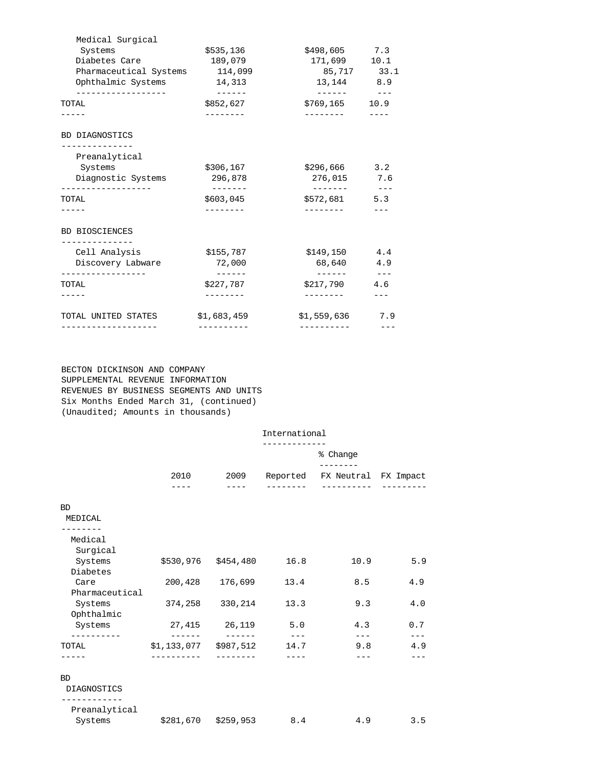| TOTAL                                                | \$227,787        | $$217,790$ 4.6          | $---$                      |
|------------------------------------------------------|------------------|-------------------------|----------------------------|
| Discovery Labware<br>. _ _ _ _ _ _ _ _ _ _ _ _ _ _ _ | 72,000<br>------ | 68,640                  | 4.9<br>$\qquad \qquad - -$ |
| Cell Analysis                                        | \$155,787        | $$149,150$ 4.4          |                            |
| <b>BD BIOSCIENCES</b><br>------------                |                  |                         |                            |
|                                                      |                  |                         |                            |
| TOTAL                                                | \$603,045        | $$572,681$ 5.3          |                            |
| Diagnostic Systems<br>------------------             | 296,878          | 276,015 7.6<br>________ | ----                       |
| Preanalytical<br>Systems                             | \$306,167        | $$296,666$ 3.2          |                            |
| <b>BD DIAGNOSTICS</b><br>. _ _ _ _ _ _ _ _ _ _ _     |                  |                         |                            |
|                                                      |                  |                         |                            |
| TOTAL                                                | \$852,627        | $$769,165$ 10.9         |                            |
| Ophthalmic Systems<br>------------------             | 14,313           | 13,144 8.9              |                            |
| Pharmaceutical Systems                               | 114,099          | 85,717 33.1             |                            |
| Diabetes Care                                        | 189,079          | 171,699                 | 10.1                       |
| Systems                                              | \$535,136        | $$498,605$ 7.3          |                            |

 BECTON DICKINSON AND COMPANY SUPPLEMENTAL REVENUE INFORMATION REVENUES BY BUSINESS SEGMENTS AND UNITS Six Months Ended March 31, (continued) (Unaudited; Amounts in thousands)

|                                                                 |                   | International   |                          |                                    |              |  |
|-----------------------------------------------------------------|-------------------|-----------------|--------------------------|------------------------------------|--------------|--|
|                                                                 |                   |                 |                          | % Change                           |              |  |
|                                                                 | 2010              |                 |                          | 2009 Reported FX Neutral FX Impact |              |  |
|                                                                 |                   |                 |                          |                                    |              |  |
| <b>BD</b><br>MEDICAL                                            |                   |                 |                          |                                    |              |  |
| --------<br>Medical<br>Surgical                                 |                   |                 |                          |                                    |              |  |
| Systems<br>Diabetes                                             |                   |                 | \$530,976 \$454,480 16.8 | 10.9                               | 5.9          |  |
| Care                                                            |                   |                 | 200,428 176,699 13.4     | 8.5                                | 4.9          |  |
| Pharmaceutical<br>Systems<br>Ophthalmic                         |                   | 374,258 330,214 | 13.3                     | 9.3                                | 4.0          |  |
| Systems                                                         | 27,415 26,119 5.0 |                 |                          | 4.3                                | 0.7          |  |
| TOTAL                                                           |                   | -------         | $- - -$                  | $\frac{1}{2}$<br>9.8               | $---$<br>4.9 |  |
|                                                                 |                   | ---------       |                          | $\qquad \qquad - -$                |              |  |
| <b>BD</b><br>DIAGNOSTICS                                        |                   |                 |                          |                                    |              |  |
| -----------<br>Preanalytical<br>Systems \$281,670 \$259,953 8.4 |                   |                 |                          | 4.9                                | 3.5          |  |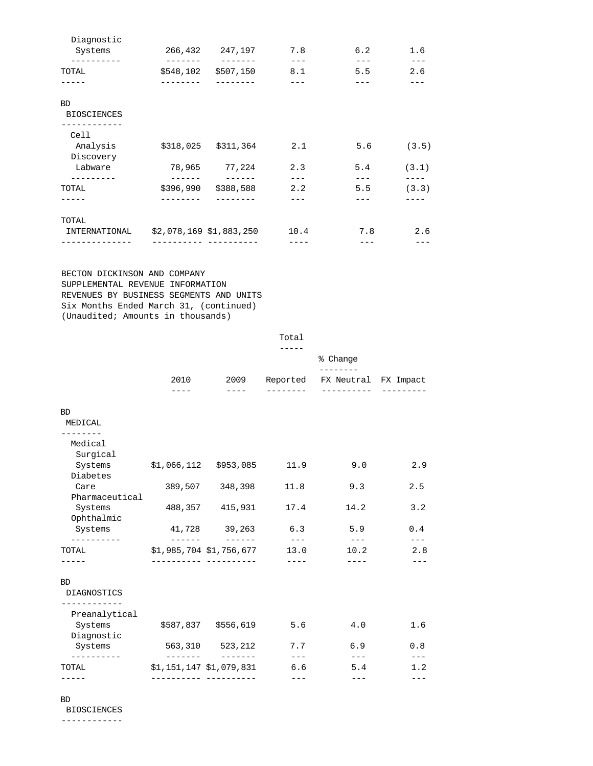| Diagnostic<br>Systems | 266,432 247,197 7.8       |              | 6.2            | 1.6         |
|-----------------------|---------------------------|--------------|----------------|-------------|
| TOTAL                 | \$548,102 \$507,150       | $---$<br>8.1 | $---$<br>5.5   | $--$<br>2.6 |
|                       |                           |              |                |             |
| <b>BD</b>             |                           |              |                |             |
| <b>BIOSCIENCES</b>    |                           |              |                |             |
| Cell                  |                           |              |                |             |
| Analysis<br>Discovery | $$318,025$ $$311,364$ 2.1 |              | 5.6            | (3.5)       |
| Labware               | 78,965 77,224             | 2.3          | 5.4            | (3.1)       |
| TOTAL                 | \$396,990 \$388,588       | 2.2          | $- - -$<br>5.5 | (3.3)       |
|                       |                           |              |                |             |
| TOTAL                 |                           |              |                |             |
| INTERNATIONAL         | \$2,078,169 \$1,883,250   | 10.4         | 7.8            | 2.6         |
|                       |                           |              |                |             |

 BECTON DICKINSON AND COMPANY SUPPLEMENTAL REVENUE INFORMATION REVENUES BY BUSINESS SEGMENTS AND UNITS Six Months Ended March 31, (continued) (Unaudited; Amounts in thousands)

#### **Total**

|                       |                                 |                                                                                                                                                                                                                                                                                                                                                                                                                                                                                        |             | % Change                      |         |  |
|-----------------------|---------------------------------|----------------------------------------------------------------------------------------------------------------------------------------------------------------------------------------------------------------------------------------------------------------------------------------------------------------------------------------------------------------------------------------------------------------------------------------------------------------------------------------|-------------|-------------------------------|---------|--|
|                       | 2010                            | 2009                                                                                                                                                                                                                                                                                                                                                                                                                                                                                   |             | Reported FX Neutral FX Impact |         |  |
|                       | ----                            | $- - - - -$                                                                                                                                                                                                                                                                                                                                                                                                                                                                            |             |                               |         |  |
| <b>BD</b>             |                                 |                                                                                                                                                                                                                                                                                                                                                                                                                                                                                        |             |                               |         |  |
| MEDICAL               |                                 |                                                                                                                                                                                                                                                                                                                                                                                                                                                                                        |             |                               |         |  |
| . <u>.</u> .          |                                 |                                                                                                                                                                                                                                                                                                                                                                                                                                                                                        |             |                               |         |  |
| Medical<br>Surgical   |                                 |                                                                                                                                                                                                                                                                                                                                                                                                                                                                                        |             |                               |         |  |
| Systems               | \$1,066,112 \$953,085 11.9      |                                                                                                                                                                                                                                                                                                                                                                                                                                                                                        |             | 9.0                           | 2.9     |  |
| Diabetes              |                                 |                                                                                                                                                                                                                                                                                                                                                                                                                                                                                        |             |                               |         |  |
| Care                  |                                 | 389,507 348,398                                                                                                                                                                                                                                                                                                                                                                                                                                                                        | 11.8        | 9.3                           | 2.5     |  |
| Pharmaceutical        |                                 |                                                                                                                                                                                                                                                                                                                                                                                                                                                                                        |             |                               |         |  |
| Systems<br>Ophthalmic |                                 | 488,357 415,931                                                                                                                                                                                                                                                                                                                                                                                                                                                                        | 17.4        | 14.2                          | 3.2     |  |
| Systems               |                                 | 41,728 39,263 6.3                                                                                                                                                                                                                                                                                                                                                                                                                                                                      |             | 5.9                           | 0.4     |  |
| ----------            | ------                          | $\begin{array}{cccccccccc} \multicolumn{2}{c}{} & \multicolumn{2}{c}{} & \multicolumn{2}{c}{} & \multicolumn{2}{c}{} & \multicolumn{2}{c}{} & \multicolumn{2}{c}{} & \multicolumn{2}{c}{} & \multicolumn{2}{c}{} & \multicolumn{2}{c}{} & \multicolumn{2}{c}{} & \multicolumn{2}{c}{} & \multicolumn{2}{c}{} & \multicolumn{2}{c}{} & \multicolumn{2}{c}{} & \multicolumn{2}{c}{} & \multicolumn{2}{c}{} & \multicolumn{2}{c}{} & \multicolumn{2}{c}{} & \multicolumn{2}{c}{} & \mult$ | $  -$       | $   \,$                       |         |  |
| TOTAL                 | \$1,985,704 \$1,756,677    13.0 |                                                                                                                                                                                                                                                                                                                                                                                                                                                                                        |             | 10.2                          | 2.8     |  |
| -----                 |                                 | _________________________                                                                                                                                                                                                                                                                                                                                                                                                                                                              | $- - - - -$ | $- - - - -$                   | $---$   |  |
| <b>BD</b>             |                                 |                                                                                                                                                                                                                                                                                                                                                                                                                                                                                        |             |                               |         |  |
| DIAGNOSTICS           |                                 |                                                                                                                                                                                                                                                                                                                                                                                                                                                                                        |             |                               |         |  |
|                       |                                 |                                                                                                                                                                                                                                                                                                                                                                                                                                                                                        |             |                               |         |  |
| Preanalytical         |                                 |                                                                                                                                                                                                                                                                                                                                                                                                                                                                                        |             |                               |         |  |
| Systems<br>Diagnostic |                                 | \$587,837 \$556,619                                                                                                                                                                                                                                                                                                                                                                                                                                                                    | 5.6         | 4.0                           | 1.6     |  |
| Systems               |                                 | 563,310 523,212                                                                                                                                                                                                                                                                                                                                                                                                                                                                        | 7.7         | 6.9                           | 0.8     |  |
|                       | --------                        | ________                                                                                                                                                                                                                                                                                                                                                                                                                                                                               | $   \,$     | $\qquad \qquad - -$           | $- - -$ |  |
| TOTAL                 |                                 | $$1,151,147$ $$1,079,831$ 6.6                                                                                                                                                                                                                                                                                                                                                                                                                                                          |             | 5.4                           | 1.2     |  |
| -----                 |                                 | ----------- ----------                                                                                                                                                                                                                                                                                                                                                                                                                                                                 | $---$       | $---$                         | $---$   |  |

BD

BIOSCIENCES

------------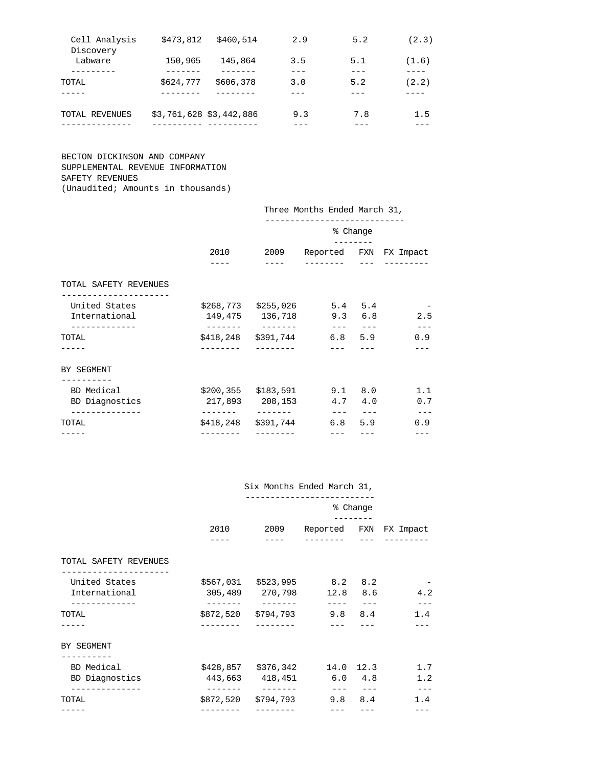| Cell Analysis<br>Discovery | \$473,812               | \$460,514 | 2.9 | 5.2 | (2.3) |
|----------------------------|-------------------------|-----------|-----|-----|-------|
| Labware                    | 150,965                 | 145,864   | 3.5 | 5.1 | (1.6) |
|                            |                         |           |     |     |       |
| TOTAL                      | \$624,777               | \$606,378 | 3.0 | 5.2 | (2.2) |
|                            |                         |           |     |     |       |
|                            |                         |           |     |     |       |
| TOTAL REVENUES             | \$3,761,628 \$3,442,886 |           | 9.3 | 7.8 | 1.5   |
|                            |                         |           |     |     |       |

 BECTON DICKINSON AND COMPANY SUPPLEMENTAL REVENUE INFORMATION SAFETY REVENUES (Unaudited; Amounts in thousands)

#### Three Months Ended March 31,

|                       |                      |                      |                                                                                                                                                                                                                                                                                                                                                                                                     | % Change        |                        |
|-----------------------|----------------------|----------------------|-----------------------------------------------------------------------------------------------------------------------------------------------------------------------------------------------------------------------------------------------------------------------------------------------------------------------------------------------------------------------------------------------------|-----------------|------------------------|
|                       | 2010                 | 2009                 | -------                                                                                                                                                                                                                                                                                                                                                                                             |                 | Reported FXN FX Impact |
|                       |                      |                      |                                                                                                                                                                                                                                                                                                                                                                                                     |                 |                        |
| TOTAL SAFETY REVENUES |                      |                      |                                                                                                                                                                                                                                                                                                                                                                                                     |                 |                        |
| United States         |                      |                      | $$268,773$ $$255,026$ 5.4 5.4                                                                                                                                                                                                                                                                                                                                                                       |                 |                        |
| International         |                      | 149,475 136,718      |                                                                                                                                                                                                                                                                                                                                                                                                     | $9.3\qquad 6.8$ | 2.5                    |
| TOTAL                 |                      |                      | ----<br>\$418,248 \$391,744 6.8 5.9                                                                                                                                                                                                                                                                                                                                                                 |                 | 0.9                    |
|                       |                      |                      |                                                                                                                                                                                                                                                                                                                                                                                                     |                 |                        |
| BY SEGMENT            |                      |                      |                                                                                                                                                                                                                                                                                                                                                                                                     |                 |                        |
| BD Medical            |                      |                      | $$200,355$ $$183,591$ 9.1 8.0                                                                                                                                                                                                                                                                                                                                                                       |                 | 1.1                    |
| BD Diagnostics        |                      | 217,893 208,153      |                                                                                                                                                                                                                                                                                                                                                                                                     | $4.7$ $4.0$     | 0.7                    |
| TOTAL                 | -------<br>\$418,248 | -------<br>\$391,744 | $\frac{1}{2} \frac{1}{2} \frac{1}{2} \frac{1}{2} \frac{1}{2} \frac{1}{2} \frac{1}{2} \frac{1}{2} \frac{1}{2} \frac{1}{2} \frac{1}{2} \frac{1}{2} \frac{1}{2} \frac{1}{2} \frac{1}{2} \frac{1}{2} \frac{1}{2} \frac{1}{2} \frac{1}{2} \frac{1}{2} \frac{1}{2} \frac{1}{2} \frac{1}{2} \frac{1}{2} \frac{1}{2} \frac{1}{2} \frac{1}{2} \frac{1}{2} \frac{1}{2} \frac{1}{2} \frac{1}{2} \frac{$<br>6.8 | $- - -$<br>5.9  | $---$<br>0.9           |
|                       |                      |                      |                                                                                                                                                                                                                                                                                                                                                                                                     |                 | ---                    |

#### Six Months Ended March 31,

|                       |                      |                               | % Change                                                                                                                                                                                                                                                                                                                                                                                            |                |                        |  |  |  |
|-----------------------|----------------------|-------------------------------|-----------------------------------------------------------------------------------------------------------------------------------------------------------------------------------------------------------------------------------------------------------------------------------------------------------------------------------------------------------------------------------------------------|----------------|------------------------|--|--|--|
|                       | 2010                 | 2009                          |                                                                                                                                                                                                                                                                                                                                                                                                     |                | Reported FXN FX Impact |  |  |  |
|                       |                      |                               |                                                                                                                                                                                                                                                                                                                                                                                                     |                |                        |  |  |  |
| TOTAL SAFETY REVENUES |                      |                               |                                                                                                                                                                                                                                                                                                                                                                                                     |                |                        |  |  |  |
| United States         |                      | $$567,031$ $$523,995$ 8.2 8.2 |                                                                                                                                                                                                                                                                                                                                                                                                     |                |                        |  |  |  |
| International         |                      | 305,489 270,798               |                                                                                                                                                                                                                                                                                                                                                                                                     | 12.8 8.6       | 4.2                    |  |  |  |
| TOTAL                 |                      | \$872,520 \$794,793 9.8 8.4   |                                                                                                                                                                                                                                                                                                                                                                                                     |                | 1.4                    |  |  |  |
|                       |                      |                               |                                                                                                                                                                                                                                                                                                                                                                                                     |                |                        |  |  |  |
| BY SEGMENT            |                      |                               |                                                                                                                                                                                                                                                                                                                                                                                                     |                |                        |  |  |  |
| BD Medical            |                      | \$428,857 \$376,342           |                                                                                                                                                                                                                                                                                                                                                                                                     | 14.0 12.3      | 1.7                    |  |  |  |
| BD Diagnostics        |                      | 443,663 418,451 6.0 4.8       |                                                                                                                                                                                                                                                                                                                                                                                                     |                | 1.2                    |  |  |  |
| TOTAL                 | -------<br>\$872,520 | $- - - - - - -$<br>\$794,793  | $\frac{1}{2} \frac{1}{2} \frac{1}{2} \frac{1}{2} \frac{1}{2} \frac{1}{2} \frac{1}{2} \frac{1}{2} \frac{1}{2} \frac{1}{2} \frac{1}{2} \frac{1}{2} \frac{1}{2} \frac{1}{2} \frac{1}{2} \frac{1}{2} \frac{1}{2} \frac{1}{2} \frac{1}{2} \frac{1}{2} \frac{1}{2} \frac{1}{2} \frac{1}{2} \frac{1}{2} \frac{1}{2} \frac{1}{2} \frac{1}{2} \frac{1}{2} \frac{1}{2} \frac{1}{2} \frac{1}{2} \frac{$<br>9.8 | $- - -$<br>8.4 | $- - -$<br>1.4         |  |  |  |
|                       |                      |                               |                                                                                                                                                                                                                                                                                                                                                                                                     |                |                        |  |  |  |